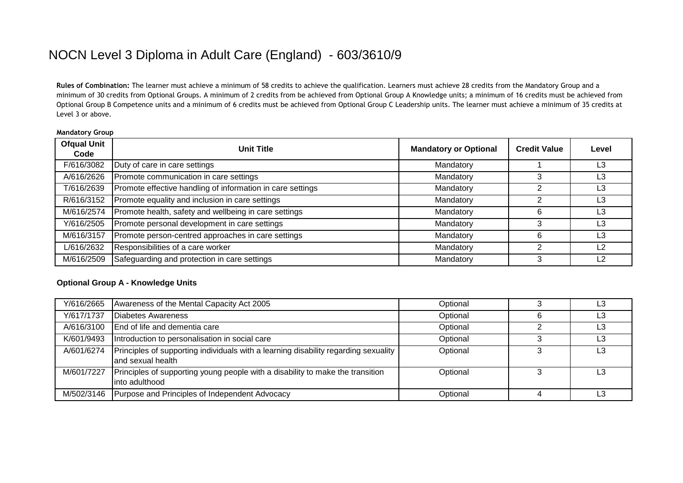# NOCN Level 3 Diploma in Adult Care (England) - 603/3610/9

**Rules of Combination:** The learner must achieve a minimum of 58 credits to achieve the qualification. Learners must achieve 28 credits from the Mandatory Group and a minimum of 30 credits from Optional Groups. A minimum of 2 credits from be achieved from Optional Group A Knowledge units; a minimum of 16 credits must be achieved from Optional Group B Competence units and a minimum of 6 credits must be achieved from Optional Group C Leadership units. The learner must achieve a minimum of 35 credits at Level 3 or above.

#### **Mandatory Group**

| <b>Ofqual Unit</b><br>Code | <b>Unit Title</b>                                          | <b>Mandatory or Optional</b> | <b>Credit Value</b> | Level          |
|----------------------------|------------------------------------------------------------|------------------------------|---------------------|----------------|
| F/616/3082                 | Duty of care in care settings                              | Mandatory                    |                     | L3             |
| A/616/2626                 | Promote communication in care settings                     | Mandatory                    |                     | L3             |
| T/616/2639                 | Promote effective handling of information in care settings | Mandatory                    |                     | L3             |
| R/616/3152                 | Promote equality and inclusion in care settings            | Mandatory                    |                     | L3             |
| M/616/2574                 | Promote health, safety and wellbeing in care settings      | Mandatory                    | 6                   | L3             |
| Y/616/2505                 | Promote personal development in care settings              | Mandatory                    |                     | L3             |
| M/616/3157                 | Promote person-centred approaches in care settings         | Mandatory                    | 6                   | L3             |
| L/616/2632                 | Responsibilities of a care worker                          | Mandatory                    |                     | $\overline{2}$ |
| M/616/2509                 | Safeguarding and protection in care settings               | Mandatory                    |                     | └2             |

### **Optional Group A - Knowledge Units**

| Y/616/2665 | Awareness of the Mental Capacity Act 2005                                                                 | Optional | L3 |
|------------|-----------------------------------------------------------------------------------------------------------|----------|----|
| Y/617/1737 | Diabetes Awareness                                                                                        | Optional | L3 |
| A/616/3100 | End of life and dementia care                                                                             | Optional | L3 |
| K/601/9493 | Introduction to personalisation in social care                                                            | Optional | L3 |
| A/601/6274 | Principles of supporting individuals with a learning disability regarding sexuality<br>land sexual health | Optional | L3 |
| M/601/7227 | Principles of supporting young people with a disability to make the transition<br>linto adulthood         | Optional | L3 |
| M/502/3146 | Purpose and Principles of Independent Advocacy                                                            | Optional | L3 |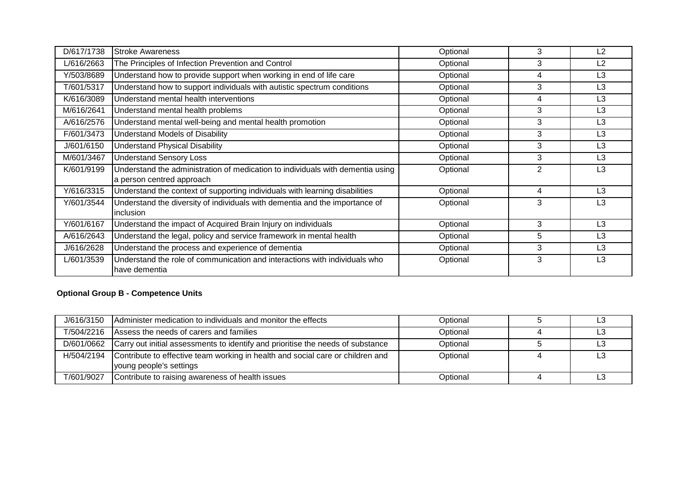| D/617/1738 | <b>Stroke Awareness</b>                                                                                     | Optional | 3              | L2             |
|------------|-------------------------------------------------------------------------------------------------------------|----------|----------------|----------------|
| L/616/2663 | The Principles of Infection Prevention and Control                                                          | Optional | 3              | L <sub>2</sub> |
| Y/503/8689 | Understand how to provide support when working in end of life care                                          | Optional | 4              | L <sub>3</sub> |
| T/601/5317 | Understand how to support individuals with autistic spectrum conditions                                     | Optional | 3              | L <sub>3</sub> |
| K/616/3089 | Understand mental health interventions                                                                      | Optional | 4              | L <sub>3</sub> |
| M/616/2641 | Understand mental health problems                                                                           | Optional | 3              | L <sub>3</sub> |
| A/616/2576 | Understand mental well-being and mental health promotion                                                    | Optional | 3              | L <sub>3</sub> |
| F/601/3473 | Understand Models of Disability                                                                             | Optional | 3              | L <sub>3</sub> |
| J/601/6150 | <b>Understand Physical Disability</b>                                                                       | Optional | 3              | L <sub>3</sub> |
| M/601/3467 | <b>Understand Sensory Loss</b>                                                                              | Optional | 3              | L <sub>3</sub> |
| K/601/9199 | Understand the administration of medication to individuals with dementia using<br>a person centred approach | Optional | $\overline{2}$ | L <sub>3</sub> |
| Y/616/3315 | Understand the context of supporting individuals with learning disabilities                                 | Optional | 4              | L <sub>3</sub> |
| Y/601/3544 | Understand the diversity of individuals with dementia and the importance of<br><b>inclusion</b>             | Optional | 3              | L3             |
| Y/601/6167 | Understand the impact of Acquired Brain Injury on individuals                                               | Optional | 3              | L <sub>3</sub> |
| A/616/2643 | Understand the legal, policy and service framework in mental health                                         | Optional | 5              | L <sub>3</sub> |
| J/616/2628 | Understand the process and experience of dementia                                                           | Optional | 3              | L <sub>3</sub> |
| L/601/3539 | Understand the role of communication and interactions with individuals who<br>have dementia                 | Optional | 3              | L <sub>3</sub> |

## **Optional Group B - Competence Units**

| J/616/3150 | Administer medication to individuals and monitor the effects                                              | Optional | L3 |
|------------|-----------------------------------------------------------------------------------------------------------|----------|----|
| T/504/2216 | Assess the needs of carers and families                                                                   | Optional | LЗ |
| D/601/0662 | Carry out initial assessments to identify and prioritise the needs of substance                           | Optional | L3 |
| H/504/2194 | Contribute to effective team working in health and social care or children and<br>young people's settings | Optional | L3 |
| T/601/9027 | Contribute to raising awareness of health issues                                                          | Optional |    |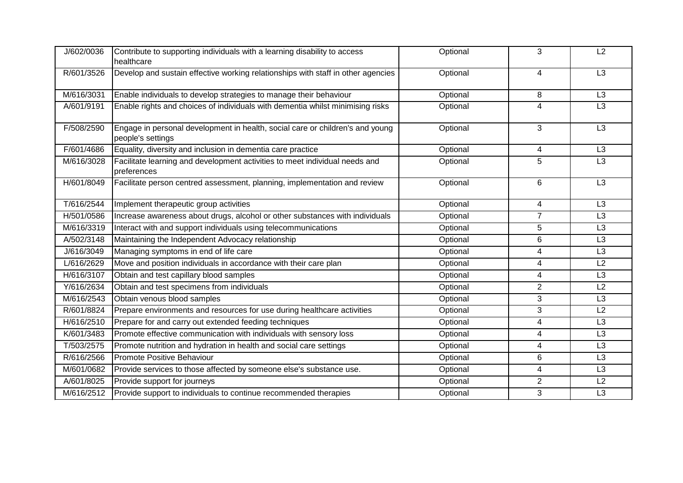| J/602/0036 | Contribute to supporting individuals with a learning disability to access<br>healthcare            | Optional | 3                       | L2              |
|------------|----------------------------------------------------------------------------------------------------|----------|-------------------------|-----------------|
| R/601/3526 | Develop and sustain effective working relationships with staff in other agencies                   | Optional | $\overline{\mathbf{4}}$ | L <sub>3</sub>  |
| M/616/3031 | Enable individuals to develop strategies to manage their behaviour                                 | Optional | 8                       | L <sub>3</sub>  |
| A/601/9191 | Enable rights and choices of individuals with dementia whilst minimising risks                     | Optional | $\overline{4}$          | L3              |
| F/508/2590 | Engage in personal development in health, social care or children's and young<br>people's settings | Optional | 3                       | L <sub>3</sub>  |
| F/601/4686 | Equality, diversity and inclusion in dementia care practice                                        | Optional | 4                       | L <sub>3</sub>  |
| M/616/3028 | Facilitate learning and development activities to meet individual needs and<br>preferences         | Optional | 5                       | L3              |
| H/601/8049 | Facilitate person centred assessment, planning, implementation and review                          | Optional | 6                       | $\overline{L3}$ |
| T/616/2544 | Implement therapeutic group activities                                                             | Optional | 4                       | L <sub>3</sub>  |
| H/501/0586 | Increase awareness about drugs, alcohol or other substances with individuals                       | Optional | $\overline{7}$          | L3              |
| M/616/3319 | Interact with and support individuals using telecommunications                                     | Optional | 5                       | L <sub>3</sub>  |
| A/502/3148 | Maintaining the Independent Advocacy relationship                                                  | Optional | 6                       | L <sub>3</sub>  |
| J/616/3049 | Managing symptoms in end of life care                                                              | Optional | 4                       | L3              |
| L/616/2629 | Move and position individuals in accordance with their care plan                                   | Optional | 4                       | L2              |
| H/616/3107 | Obtain and test capillary blood samples                                                            | Optional | $\overline{4}$          | L <sub>3</sub>  |
| Y/616/2634 | Obtain and test specimens from individuals                                                         | Optional | $\overline{2}$          | $\overline{L2}$ |
| M/616/2543 | Obtain venous blood samples                                                                        | Optional | 3                       | L3              |
| R/601/8824 | Prepare environments and resources for use during healthcare activities                            | Optional | 3                       | L2              |
| H/616/2510 | Prepare for and carry out extended feeding techniques                                              | Optional | $\overline{4}$          | L3              |
| K/601/3483 | Promote effective communication with individuals with sensory loss                                 | Optional | 4                       | $\overline{L3}$ |
| T/503/2575 | Promote nutrition and hydration in health and social care settings                                 | Optional | 4                       | L3              |
| R/616/2566 | Promote Positive Behaviour                                                                         | Optional | 6                       | L <sub>3</sub>  |
| M/601/0682 | Provide services to those affected by someone else's substance use.                                | Optional | $\overline{4}$          | L3              |
| A/601/8025 | Provide support for journeys                                                                       | Optional | $\overline{2}$          | L2              |
| M/616/2512 | Provide support to individuals to continue recommended therapies                                   | Optional | 3                       | L3              |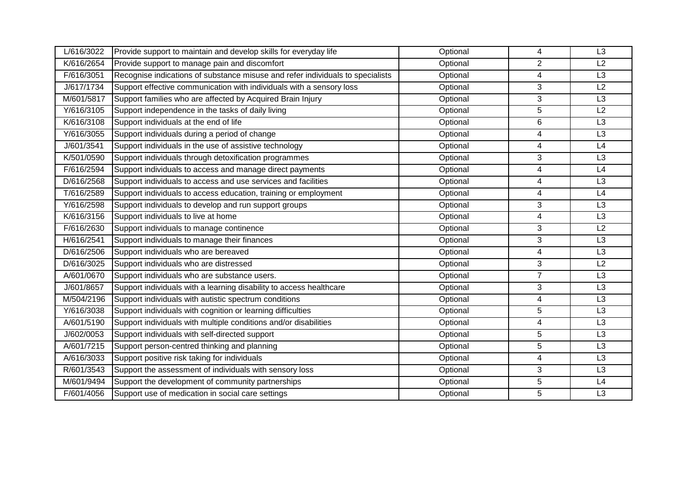| L/616/3022 | Provide support to maintain and develop skills for everyday life               | Optional | 4              | L3              |
|------------|--------------------------------------------------------------------------------|----------|----------------|-----------------|
| K/616/2654 | Provide support to manage pain and discomfort                                  | Optional | $\overline{2}$ | L2              |
| F/616/3051 | Recognise indications of substance misuse and refer individuals to specialists | Optional | 4              | L3              |
| J/617/1734 | Support effective communication with individuals with a sensory loss           | Optional | 3              | L2              |
| M/601/5817 | Support families who are affected by Acquired Brain Injury                     | Optional | 3              | L3              |
| Y/616/3105 | Support independence in the tasks of daily living                              | Optional | 5              | L2              |
| K/616/3108 | Support individuals at the end of life                                         | Optional | 6              | L3              |
| Y/616/3055 | Support individuals during a period of change                                  | Optional | 4              | $\overline{L3}$ |
| J/601/3541 | Support individuals in the use of assistive technology                         | Optional | 4              | L4              |
| K/501/0590 | Support individuals through detoxification programmes                          | Optional | 3              | L3              |
| F/616/2594 | Support individuals to access and manage direct payments                       | Optional | 4              | L4              |
| D/616/2568 | Support individuals to access and use services and facilities                  | Optional | $\overline{4}$ | L3              |
| T/616/2589 | Support individuals to access education, training or employment                | Optional | 4              | L4              |
| Y/616/2598 | Support individuals to develop and run support groups                          | Optional | 3              | L3              |
| K/616/3156 | Support individuals to live at home                                            | Optional | 4              | L3              |
| F/616/2630 | Support individuals to manage continence                                       | Optional | 3              | L2              |
| H/616/2541 | Support individuals to manage their finances                                   | Optional | 3              | L3              |
| D/616/2506 | Support individuals who are bereaved                                           | Optional | 4              | L3              |
| D/616/3025 | Support individuals who are distressed                                         | Optional | 3              | L2              |
| A/601/0670 | Support individuals who are substance users.                                   | Optional | $\overline{7}$ | L <sub>3</sub>  |
| J/601/8657 | Support individuals with a learning disability to access healthcare            | Optional | 3              | L3              |
| M/504/2196 | Support individuals with autistic spectrum conditions                          | Optional | 4              | L3              |
| Y/616/3038 | Support individuals with cognition or learning difficulties                    | Optional | 5              | L3              |
| A/601/5190 | Support individuals with multiple conditions and/or disabilities               | Optional | 4              | L3              |
| J/602/0053 | Support individuals with self-directed support                                 | Optional | 5              | L3              |
| A/601/7215 | Support person-centred thinking and planning                                   | Optional | 5              | L3              |
| A/616/3033 | Support positive risk taking for individuals                                   | Optional | 4              | L3              |
| R/601/3543 | Support the assessment of individuals with sensory loss                        | Optional | 3              | L3              |
| M/601/9494 | Support the development of community partnerships                              | Optional | $\overline{5}$ | L4              |
| F/601/4056 | Support use of medication in social care settings                              | Optional | 5              | L3              |